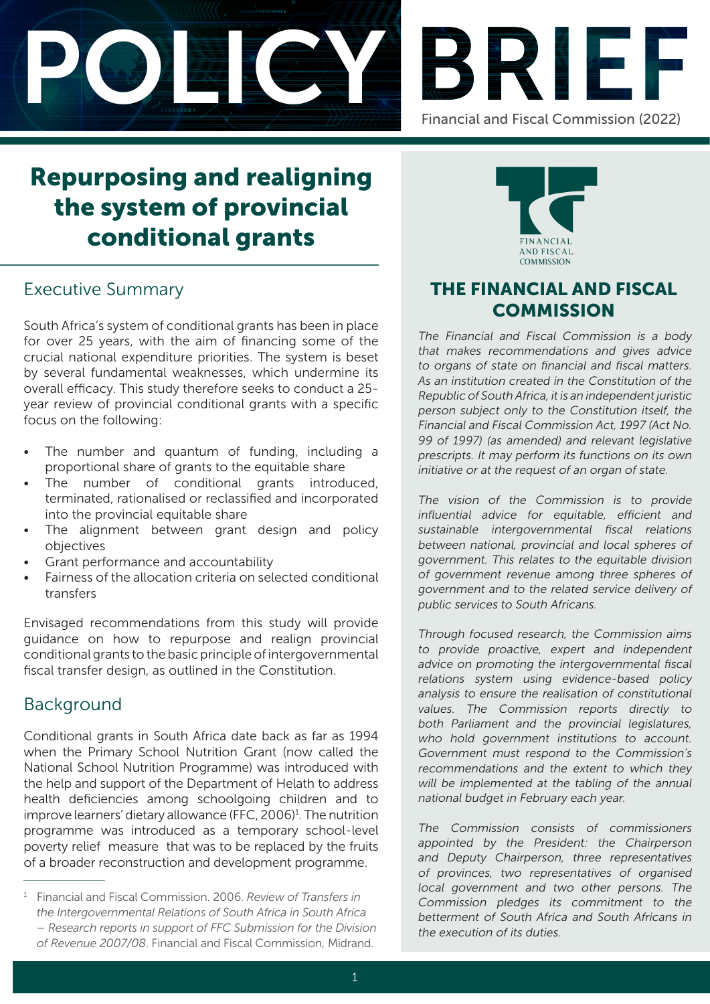



# Repurposing and realigning the system of provincial conditional grants

# Executive Summary

South Africa's system of conditional grants has been in place for over 25 years, with the aim of financing some of the crucial national expenditure priorities. The system is beset by several fundamental weaknesses, which undermine its overall efficacy. This study therefore seeks to conduct a 25 year review of provincial conditional grants with a specific focus on the following:

- The number and quantum of funding, including a proportional share of grants to the equitable share
- The number of conditional grants introduced, terminated, rationalised or reclassified and incorporated into the provincial equitable share
- The alignment between grant design and policy objectives
- Grant performance and accountability
- Fairness of the allocation criteria on selected conditional transfers

Envisaged recommendations from this study will provide guidance on how to repurpose and realign provincial conditional grants to the basic principle of intergovernmental fiscal transfer design, as outlined in the Constitution.

# Background

Conditional grants in South Africa date back as far as 1994 when the Primary School Nutrition Grant (now called the National School Nutrition Programme) was introduced with the help and support of the Department of Helath to address health deficiencies among schoolgoing children and to improve learners' dietary allowance (FFC, 2006)<sup>1</sup>. The nutrition programme was introduced as a temporary school-level poverty relief measure that was to be replaced by the fruits of a broader reconstruction and development programme.

<sup>1</sup> Financial and Fiscal Commission. 2006. *Review of Transfers in the Intergovernmental Relations of South Africa in South Africa – Research reports in support of FFC Submission for the Division of Revenue 2007/08*. Financial and Fiscal Commission, Midrand.



# THE FINANCIAL AND FISCAL **COMMISSION**

The Financial and Fiscal Commission is a body that makes recommendations and gives advice to organs of state on financial and fiscal matters. As an institution created in the Constitution of the Republic of South Africa, it is an independent juristic person subject only to the Constitution itself, the Financial and Fiscal Commission Act, 1997 (Act No. 99 of 1997) (as amended) and relevant legislative prescripts. It may perform its functions on its own initiative or at the request of an organ of state.

The vision of the Commission is to provide influential advice for equitable, efficient and sustainable intergovernmental fiscal relations between national, provincial and local spheres of government. This relates to the equitable division of government revenue among three spheres of government and to the related service delivery of public services to South Africans.

Through focused research, the Commission aims to provide proactive, expert and independent advice on promoting the intergovernmental fiscal relations system using evidence-based policy analysis to ensure the realisation of constitutional values. The Commission reports directly to both Parliament and the provincial legislatures, who hold government institutions to account. Government must respond to the Commission's recommendations and the extent to which they will be implemented at the tabling of the annual national budget in February each year.

The Commission consists of commissioners appointed by the President: the Chairperson and Deputy Chairperson, three representatives of provinces, two representatives of organised local government and two other persons. The Commission pledges its commitment to the betterment of South Africa and South Africans in the execution of its duties.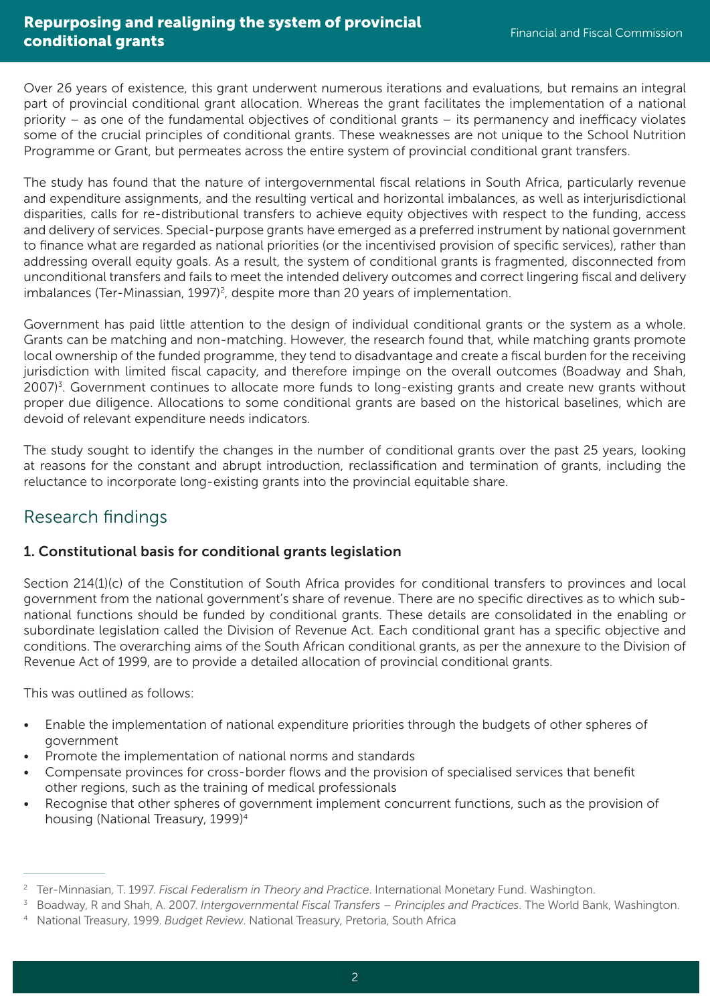Over 26 years of existence, this grant underwent numerous iterations and evaluations, but remains an integral part of provincial conditional grant allocation. Whereas the grant facilitates the implementation of a national priority – as one of the fundamental objectives of conditional grants – its permanency and inefficacy violates some of the crucial principles of conditional grants. These weaknesses are not unique to the School Nutrition Programme or Grant, but permeates across the entire system of provincial conditional grant transfers.

The study has found that the nature of intergovernmental fiscal relations in South Africa, particularly revenue and expenditure assignments, and the resulting vertical and horizontal imbalances, as well as interjurisdictional disparities, calls for re-distributional transfers to achieve equity objectives with respect to the funding, access and delivery of services. Special-purpose grants have emerged as a preferred instrument by national government to finance what are regarded as national priorities (or the incentivised provision of specific services), rather than addressing overall equity goals. As a result, the system of conditional grants is fragmented, disconnected from unconditional transfers and fails to meet the intended delivery outcomes and correct lingering fiscal and delivery imbalances (Ter-Minassian, 1997)<sup>2</sup>, despite more than 20 years of implementation.

Government has paid little attention to the design of individual conditional grants or the system as a whole. Grants can be matching and non-matching. However, the research found that, while matching grants promote local ownership of the funded programme, they tend to disadvantage and create a fiscal burden for the receiving jurisdiction with limited fiscal capacity, and therefore impinge on the overall outcomes (Boadway and Shah, 2007)<sup>3</sup>. Government continues to allocate more funds to long-existing grants and create new grants without proper due diligence. Allocations to some conditional grants are based on the historical baselines, which are devoid of relevant expenditure needs indicators.

The study sought to identify the changes in the number of conditional grants over the past 25 years, looking at reasons for the constant and abrupt introduction, reclassification and termination of grants, including the reluctance to incorporate long-existing grants into the provincial equitable share.

# Research findings

### 1. Constitutional basis for conditional grants legislation

Section 214(1)(c) of the Constitution of South Africa provides for conditional transfers to provinces and local government from the national government's share of revenue. There are no specific directives as to which subnational functions should be funded by conditional grants. These details are consolidated in the enabling or subordinate legislation called the Division of Revenue Act. Each conditional grant has a specific objective and conditions. The overarching aims of the South African conditional grants, as per the annexure to the Division of Revenue Act of 1999, are to provide a detailed allocation of provincial conditional grants.

This was outlined as follows:

- Enable the implementation of national expenditure priorities through the budgets of other spheres of government
- Promote the implementation of national norms and standards
- Compensate provinces for cross-border flows and the provision of specialised services that benefit other regions, such as the training of medical professionals
- Recognise that other spheres of government implement concurrent functions, such as the provision of housing (National Treasury, 1999)4

<sup>&</sup>lt;sup>2</sup> Ter-Minnasian, T. 1997. *Fiscal Federalism in Theory and Practice*. International Monetary Fund. Washington.<br><sup>3</sup> Boadway, R and Shah, A. 2007. *Intergovernmental Fiscal Transfers – Principles and Practices*. The World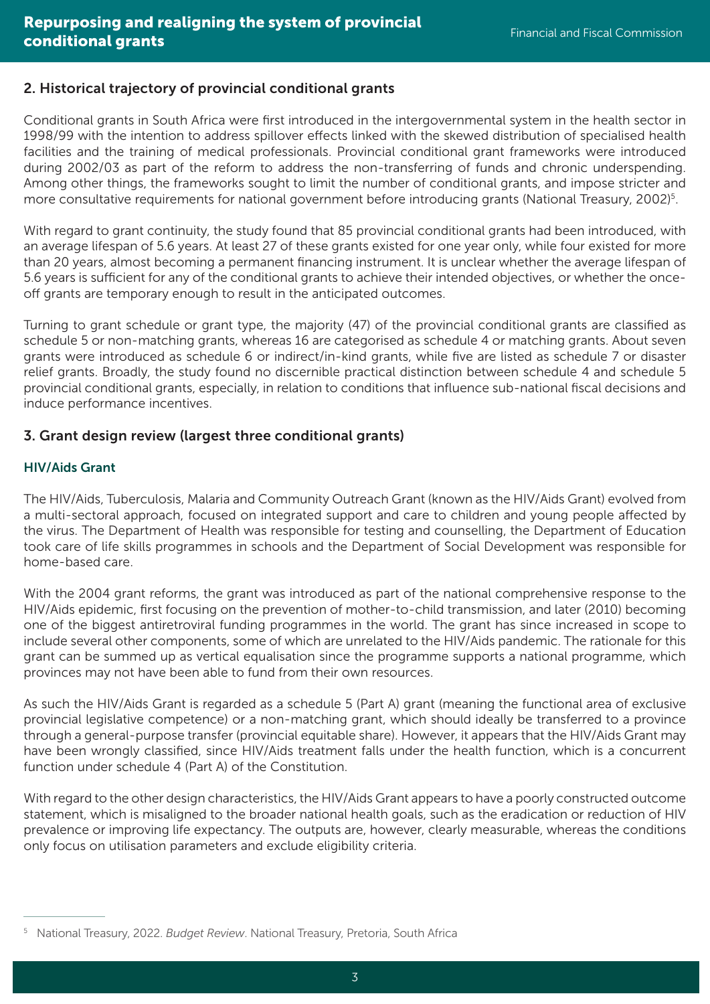### 2. Historical trajectory of provincial conditional grants

Conditional grants in South Africa were first introduced in the intergovernmental system in the health sector in 1998/99 with the intention to address spillover effects linked with the skewed distribution of specialised health facilities and the training of medical professionals. Provincial conditional grant frameworks were introduced during 2002/03 as part of the reform to address the non-transferring of funds and chronic underspending. Among other things, the frameworks sought to limit the number of conditional grants, and impose stricter and more consultative requirements for national government before introducing grants (National Treasury, 2002)<sup>5</sup>.

With regard to grant continuity, the study found that 85 provincial conditional grants had been introduced, with an average lifespan of 5.6 years. At least 27 of these grants existed for one year only, while four existed for more than 20 years, almost becoming a permanent financing instrument. It is unclear whether the average lifespan of 5.6 years is sufficient for any of the conditional grants to achieve their intended objectives, or whether the onceoff grants are temporary enough to result in the anticipated outcomes.

Turning to grant schedule or grant type, the majority (47) of the provincial conditional grants are classified as schedule 5 or non-matching grants, whereas 16 are categorised as schedule 4 or matching grants. About seven grants were introduced as schedule 6 or indirect/in-kind grants, while five are listed as schedule 7 or disaster relief grants. Broadly, the study found no discernible practical distinction between schedule 4 and schedule 5 provincial conditional grants, especially, in relation to conditions that influence sub-national fiscal decisions and induce performance incentives.

### 3. Grant design review (largest three conditional grants)

#### HIV/Aids Grant

The HIV/Aids, Tuberculosis, Malaria and Community Outreach Grant (known as the HIV/Aids Grant) evolved from a multi-sectoral approach, focused on integrated support and care to children and young people affected by the virus. The Department of Health was responsible for testing and counselling, the Department of Education took care of life skills programmes in schools and the Department of Social Development was responsible for home-based care.

With the 2004 grant reforms, the grant was introduced as part of the national comprehensive response to the HIV/Aids epidemic, first focusing on the prevention of mother-to-child transmission, and later (2010) becoming one of the biggest antiretroviral funding programmes in the world. The grant has since increased in scope to include several other components, some of which are unrelated to the HIV/Aids pandemic. The rationale for this grant can be summed up as vertical equalisation since the programme supports a national programme, which provinces may not have been able to fund from their own resources.

As such the HIV/Aids Grant is regarded as a schedule 5 (Part A) grant (meaning the functional area of exclusive provincial legislative competence) or a non-matching grant, which should ideally be transferred to a province through a general-purpose transfer (provincial equitable share). However, it appears that the HIV/Aids Grant may have been wrongly classified, since HIV/Aids treatment falls under the health function, which is a concurrent function under schedule 4 (Part A) of the Constitution.

With regard to the other design characteristics, the HIV/Aids Grant appears to have a poorly constructed outcome statement, which is misaligned to the broader national health goals, such as the eradication or reduction of HIV prevalence or improving life expectancy. The outputs are, however, clearly measurable, whereas the conditions only focus on utilisation parameters and exclude eligibility criteria.

<sup>5</sup> National Treasury, 2022. *Budget Review*. National Treasury, Pretoria, South Africa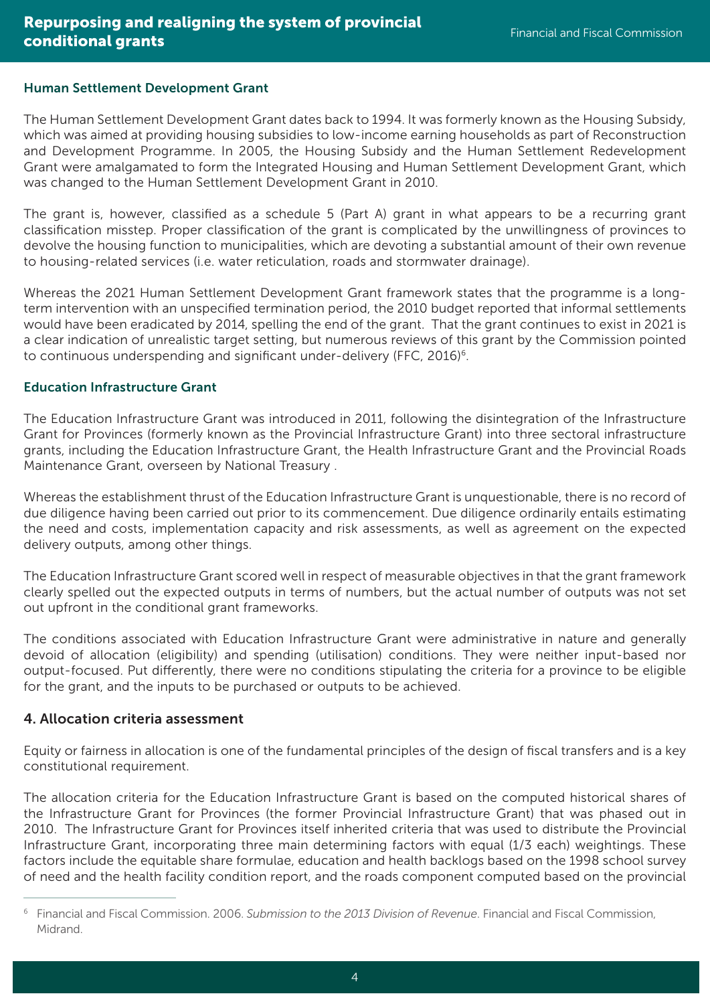#### Human Settlement Development Grant

The Human Settlement Development Grant dates back to 1994. It was formerly known as the Housing Subsidy, which was aimed at providing housing subsidies to low-income earning households as part of Reconstruction and Development Programme. In 2005, the Housing Subsidy and the Human Settlement Redevelopment Grant were amalgamated to form the Integrated Housing and Human Settlement Development Grant, which was changed to the Human Settlement Development Grant in 2010.

The grant is, however, classified as a schedule 5 (Part A) grant in what appears to be a recurring grant classification misstep. Proper classification of the grant is complicated by the unwillingness of provinces to devolve the housing function to municipalities, which are devoting a substantial amount of their own revenue to housing-related services (i.e. water reticulation, roads and stormwater drainage).

Whereas the 2021 Human Settlement Development Grant framework states that the programme is a longterm intervention with an unspecified termination period, the 2010 budget reported that informal settlements would have been eradicated by 2014, spelling the end of the grant. That the grant continues to exist in 2021 is a clear indication of unrealistic target setting, but numerous reviews of this grant by the Commission pointed to continuous underspending and significant under-delivery (FFC, 2016)<sup>6</sup>.

#### Education Infrastructure Grant

The Education Infrastructure Grant was introduced in 2011, following the disintegration of the Infrastructure Grant for Provinces (formerly known as the Provincial Infrastructure Grant) into three sectoral infrastructure grants, including the Education Infrastructure Grant, the Health Infrastructure Grant and the Provincial Roads Maintenance Grant, overseen by National Treasury .

Whereas the establishment thrust of the Education Infrastructure Grant is unquestionable, there is no record of due diligence having been carried out prior to its commencement. Due diligence ordinarily entails estimating the need and costs, implementation capacity and risk assessments, as well as agreement on the expected delivery outputs, among other things.

The Education Infrastructure Grant scored well in respect of measurable objectives in that the grant framework clearly spelled out the expected outputs in terms of numbers, but the actual number of outputs was not set out upfront in the conditional grant frameworks.

The conditions associated with Education Infrastructure Grant were administrative in nature and generally devoid of allocation (eligibility) and spending (utilisation) conditions. They were neither input-based nor output-focused. Put differently, there were no conditions stipulating the criteria for a province to be eligible for the grant, and the inputs to be purchased or outputs to be achieved.

#### 4. Allocation criteria assessment

Equity or fairness in allocation is one of the fundamental principles of the design of fiscal transfers and is a key constitutional requirement.

The allocation criteria for the Education Infrastructure Grant is based on the computed historical shares of the Infrastructure Grant for Provinces (the former Provincial Infrastructure Grant) that was phased out in 2010. The Infrastructure Grant for Provinces itself inherited criteria that was used to distribute the Provincial Infrastructure Grant, incorporating three main determining factors with equal (1/3 each) weightings. These factors include the equitable share formulae, education and health backlogs based on the 1998 school survey of need and the health facility condition report, and the roads component computed based on the provincial

<sup>6</sup> Financial and Fiscal Commission. 2006. *Submission to the 2013 Division of Revenue*. Financial and Fiscal Commission, Midrand.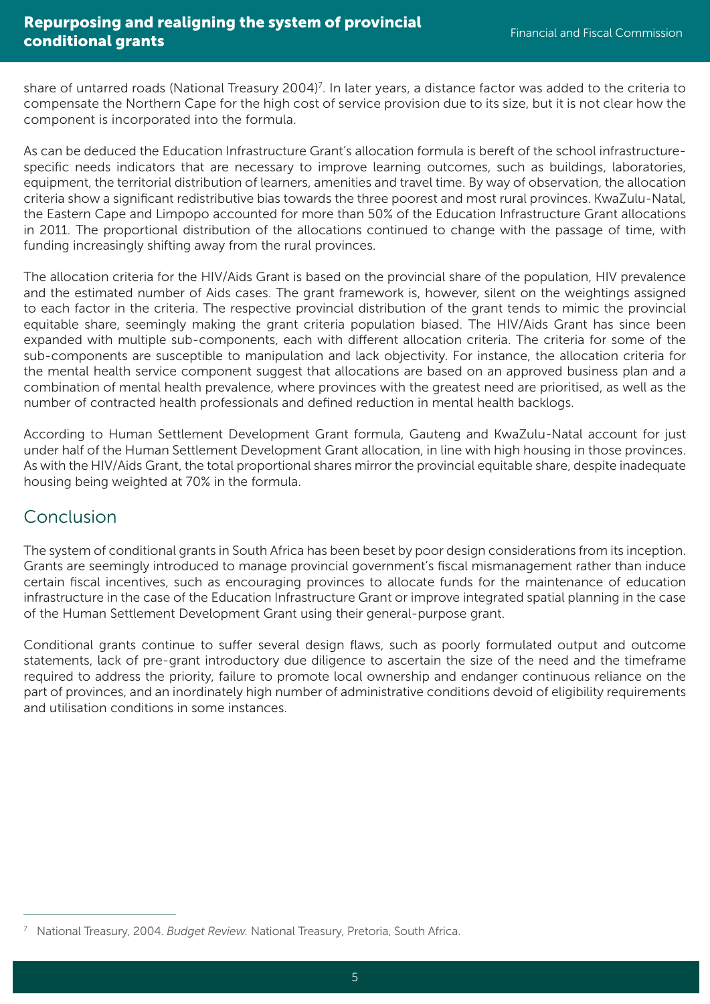share of untarred roads (National Treasury 2004)<sup>7</sup>. In later years, a distance factor was added to the criteria to compensate the Northern Cape for the high cost of service provision due to its size, but it is not clear how the component is incorporated into the formula.

As can be deduced the Education Infrastructure Grant's allocation formula is bereft of the school infrastructurespecific needs indicators that are necessary to improve learning outcomes, such as buildings, laboratories, equipment, the territorial distribution of learners, amenities and travel time. By way of observation, the allocation criteria show a significant redistributive bias towards the three poorest and most rural provinces. KwaZulu-Natal, the Eastern Cape and Limpopo accounted for more than 50% of the Education Infrastructure Grant allocations in 2011. The proportional distribution of the allocations continued to change with the passage of time, with funding increasingly shifting away from the rural provinces.

The allocation criteria for the HIV/Aids Grant is based on the provincial share of the population, HIV prevalence and the estimated number of Aids cases. The grant framework is, however, silent on the weightings assigned to each factor in the criteria. The respective provincial distribution of the grant tends to mimic the provincial equitable share, seemingly making the grant criteria population biased. The HIV/Aids Grant has since been expanded with multiple sub-components, each with different allocation criteria. The criteria for some of the sub-components are susceptible to manipulation and lack objectivity. For instance, the allocation criteria for the mental health service component suggest that allocations are based on an approved business plan and a combination of mental health prevalence, where provinces with the greatest need are prioritised, as well as the number of contracted health professionals and defined reduction in mental health backlogs.

According to Human Settlement Development Grant formula, Gauteng and KwaZulu-Natal account for just under half of the Human Settlement Development Grant allocation, in line with high housing in those provinces. As with the HIV/Aids Grant, the total proportional shares mirror the provincial equitable share, despite inadequate housing being weighted at 70% in the formula.

### Conclusion

The system of conditional grants in South Africa has been beset by poor design considerations from its inception. Grants are seemingly introduced to manage provincial government's fiscal mismanagement rather than induce certain fiscal incentives, such as encouraging provinces to allocate funds for the maintenance of education infrastructure in the case of the Education Infrastructure Grant or improve integrated spatial planning in the case of the Human Settlement Development Grant using their general-purpose grant.

Conditional grants continue to suffer several design flaws, such as poorly formulated output and outcome statements, lack of pre-grant introductory due diligence to ascertain the size of the need and the timeframe required to address the priority, failure to promote local ownership and endanger continuous reliance on the part of provinces, and an inordinately high number of administrative conditions devoid of eligibility requirements and utilisation conditions in some instances.

<sup>7</sup> National Treasury, 2004. *Budget Review.* National Treasury, Pretoria, South Africa.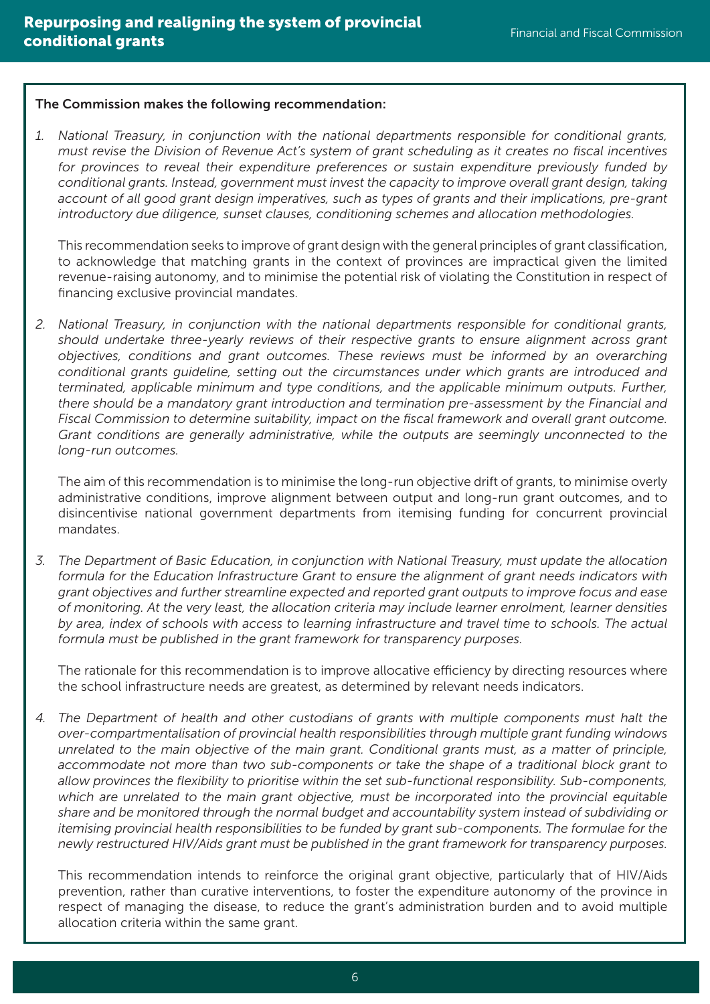#### The Commission makes the following recommendation:

*1. National Treasury, in conjunction with the national departments responsible for conditional grants, must revise the Division of Revenue Act's system of grant scheduling as it creates no fiscal incentives for provinces to reveal their expenditure preferences or sustain expenditure previously funded by conditional grants. Instead, government must invest the capacity to improve overall grant design, taking account of all good grant design imperatives, such as types of grants and their implications, pre-grant introductory due diligence, sunset clauses, conditioning schemes and allocation methodologies.* 

This recommendation seeks to improve of grant design with the general principles of grant classification, to acknowledge that matching grants in the context of provinces are impractical given the limited revenue-raising autonomy, and to minimise the potential risk of violating the Constitution in respect of financing exclusive provincial mandates.

*2. National Treasury, in conjunction with the national departments responsible for conditional grants, should undertake three-yearly reviews of their respective grants to ensure alignment across grant objectives, conditions and grant outcomes. These reviews must be informed by an overarching conditional grants guideline, setting out the circumstances under which grants are introduced and terminated, applicable minimum and type conditions, and the applicable minimum outputs. Further, there should be a mandatory grant introduction and termination pre-assessment by the Financial and Fiscal Commission to determine suitability, impact on the fiscal framework and overall grant outcome. Grant conditions are generally administrative, while the outputs are seemingly unconnected to the long-run outcomes.* 

The aim of this recommendation is to minimise the long-run objective drift of grants, to minimise overly administrative conditions, improve alignment between output and long-run grant outcomes, and to disincentivise national government departments from itemising funding for concurrent provincial mandates.

*3. The Department of Basic Education, in conjunction with National Treasury, must update the allocation formula for the Education Infrastructure Grant to ensure the alignment of grant needs indicators with grant objectives and further streamline expected and reported grant outputs to improve focus and ease of monitoring. At the very least, the allocation criteria may include learner enrolment, learner densities by area, index of schools with access to learning infrastructure and travel time to schools. The actual formula must be published in the grant framework for transparency purposes.* 

The rationale for this recommendation is to improve allocative efficiency by directing resources where the school infrastructure needs are greatest, as determined by relevant needs indicators.

*4. The Department of health and other custodians of grants with multiple components must halt the over-compartmentalisation of provincial health responsibilities through multiple grant funding windows unrelated to the main objective of the main grant. Conditional grants must, as a matter of principle, accommodate not more than two sub-components or take the shape of a traditional block grant to allow provinces the flexibility to prioritise within the set sub-functional responsibility. Sub-components, which are unrelated to the main grant objective, must be incorporated into the provincial equitable share and be monitored through the normal budget and accountability system instead of subdividing or itemising provincial health responsibilities to be funded by grant sub-components. The formulae for the newly restructured HIV/Aids grant must be published in the grant framework for transparency purposes.* 

This recommendation intends to reinforce the original grant objective, particularly that of HIV/Aids prevention, rather than curative interventions, to foster the expenditure autonomy of the province in respect of managing the disease, to reduce the grant's administration burden and to avoid multiple allocation criteria within the same grant.